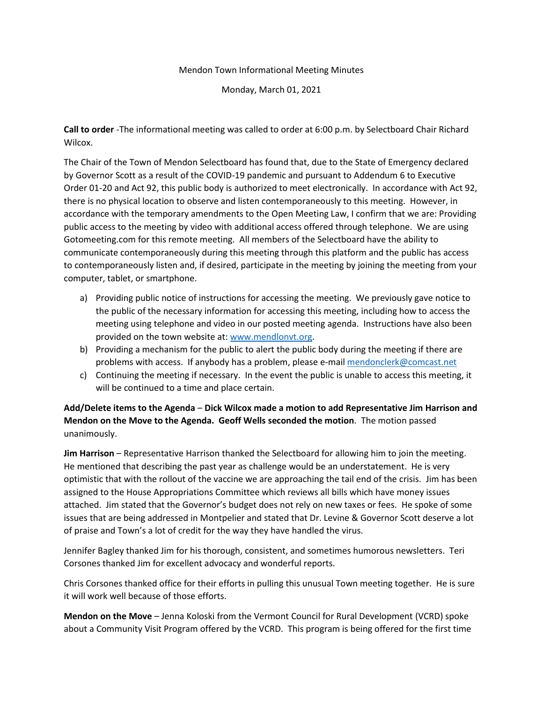#### Mendon Town Informational Meeting Minutes

Monday, March 01, 2021

**Call to order** -The informational meeting was called to order at 6:00 p.m. by Selectboard Chair Richard Wilcox.

The Chair of the Town of Mendon Selectboard has found that, due to the State of Emergency declared by Governor Scott as a result of the COVID-19 pandemic and pursuant to Addendum 6 to Executive Order 01-20 and Act 92, this public body is authorized to meet electronically. In accordance with Act 92, there is no physical location to observe and listen contemporaneously to this meeting. However, in accordance with the temporary amendments to the Open Meeting Law, I confirm that we are: Providing public access to the meeting by video with additional access offered through telephone. We are using Gotomeeting.com for this remote meeting. All members of the Selectboard have the ability to communicate contemporaneously during this meeting through this platform and the public has access to contemporaneously listen and, if desired, participate in the meeting by joining the meeting from your computer, tablet, or smartphone.

- a) Providing public notice of instructions for accessing the meeting. We previously gave notice to the public of the necessary information for accessing this meeting, including how to access the meeting using telephone and video in our posted meeting agenda. Instructions have also been provided on the town website at[: www.mendlonvt.org.](http://www.mendlonvt.org/)
- b) Providing a mechanism for the public to alert the public body during the meeting if there are problems with access. If anybody has a problem, please e-mai[l mendonclerk@comcast.net](mailto:mendonclerk@comcast.net)
- c) Continuing the meeting if necessary. In the event the public is unable to access this meeting, it will be continued to a time and place certain.

**Add/Delete items to the Agenda** – **Dick Wilcox made a motion to add Representative Jim Harrison and Mendon on the Move to the Agenda. Geoff Wells seconded the motion**. The motion passed unanimously.

**Jim Harrison** – Representative Harrison thanked the Selectboard for allowing him to join the meeting. He mentioned that describing the past year as challenge would be an understatement. He is very optimistic that with the rollout of the vaccine we are approaching the tail end of the crisis. Jim has been assigned to the House Appropriations Committee which reviews all bills which have money issues attached. Jim stated that the Governor's budget does not rely on new taxes or fees. He spoke of some issues that are being addressed in Montpelier and stated that Dr. Levine & Governor Scott deserve a lot of praise and Town's a lot of credit for the way they have handled the virus.

Jennifer Bagley thanked Jim for his thorough, consistent, and sometimes humorous newsletters. Teri Corsones thanked Jim for excellent advocacy and wonderful reports.

Chris Corsones thanked office for their efforts in pulling this unusual Town meeting together. He is sure it will work well because of those efforts.

**Mendon on the Move** – Jenna Koloski from the Vermont Council for Rural Development (VCRD) spoke about a Community Visit Program offered by the VCRD. This program is being offered for the first time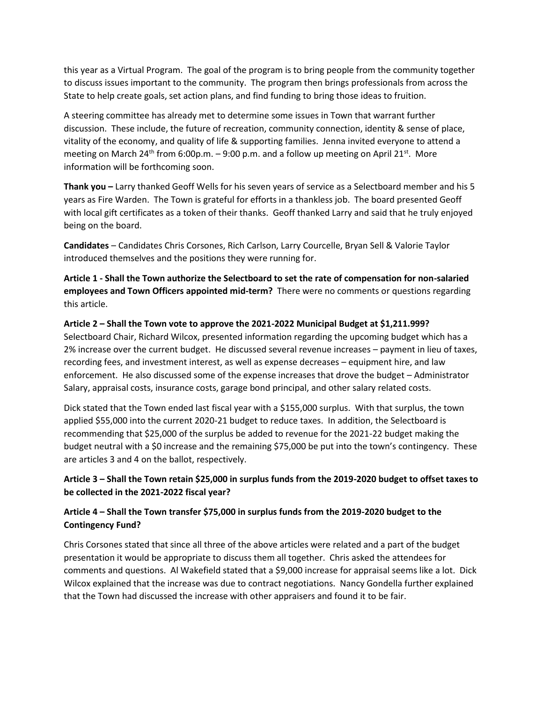this year as a Virtual Program. The goal of the program is to bring people from the community together to discuss issues important to the community. The program then brings professionals from across the State to help create goals, set action plans, and find funding to bring those ideas to fruition.

A steering committee has already met to determine some issues in Town that warrant further discussion. These include, the future of recreation, community connection, identity & sense of place, vitality of the economy, and quality of life & supporting families. Jenna invited everyone to attend a meeting on March 24<sup>th</sup> from 6:00p.m.  $-$  9:00 p.m. and a follow up meeting on April 21<sup>st</sup>. More information will be forthcoming soon.

**Thank you –** Larry thanked Geoff Wells for his seven years of service as a Selectboard member and his 5 years as Fire Warden. The Town is grateful for efforts in a thankless job. The board presented Geoff with local gift certificates as a token of their thanks. Geoff thanked Larry and said that he truly enjoyed being on the board.

**Candidates** – Candidates Chris Corsones, Rich Carlson, Larry Courcelle, Bryan Sell & Valorie Taylor introduced themselves and the positions they were running for.

**Article 1 - Shall the Town authorize the Selectboard to set the rate of compensation for non-salaried employees and Town Officers appointed mid-term?** There were no comments or questions regarding this article.

# **Article 2 – Shall the Town vote to approve the 2021-2022 Municipal Budget at \$1,211.999?**

Selectboard Chair, Richard Wilcox, presented information regarding the upcoming budget which has a 2% increase over the current budget. He discussed several revenue increases – payment in lieu of taxes, recording fees, and investment interest, as well as expense decreases – equipment hire, and law enforcement. He also discussed some of the expense increases that drove the budget – Administrator Salary, appraisal costs, insurance costs, garage bond principal, and other salary related costs.

Dick stated that the Town ended last fiscal year with a \$155,000 surplus. With that surplus, the town applied \$55,000 into the current 2020-21 budget to reduce taxes. In addition, the Selectboard is recommending that \$25,000 of the surplus be added to revenue for the 2021-22 budget making the budget neutral with a \$0 increase and the remaining \$75,000 be put into the town's contingency. These are articles 3 and 4 on the ballot, respectively.

## **Article 3 – Shall the Town retain \$25,000 in surplus funds from the 2019-2020 budget to offset taxes to be collected in the 2021-2022 fiscal year?**

## **Article 4 – Shall the Town transfer \$75,000 in surplus funds from the 2019-2020 budget to the Contingency Fund?**

Chris Corsones stated that since all three of the above articles were related and a part of the budget presentation it would be appropriate to discuss them all together. Chris asked the attendees for comments and questions. Al Wakefield stated that a \$9,000 increase for appraisal seems like a lot. Dick Wilcox explained that the increase was due to contract negotiations. Nancy Gondella further explained that the Town had discussed the increase with other appraisers and found it to be fair.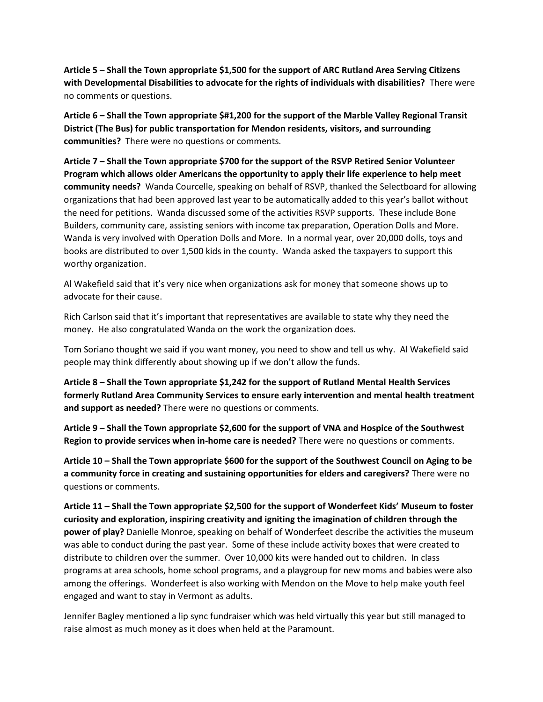**Article 5 – Shall the Town appropriate \$1,500 for the support of ARC Rutland Area Serving Citizens with Developmental Disabilities to advocate for the rights of individuals with disabilities?** There were no comments or questions.

**Article 6 – Shall the Town appropriate \$#1,200 for the support of the Marble Valley Regional Transit District (The Bus) for public transportation for Mendon residents, visitors, and surrounding communities?** There were no questions or comments.

**Article 7 – Shall the Town appropriate \$700 for the support of the RSVP Retired Senior Volunteer Program which allows older Americans the opportunity to apply their life experience to help meet community needs?** Wanda Courcelle, speaking on behalf of RSVP, thanked the Selectboard for allowing organizations that had been approved last year to be automatically added to this year's ballot without the need for petitions. Wanda discussed some of the activities RSVP supports. These include Bone Builders, community care, assisting seniors with income tax preparation, Operation Dolls and More. Wanda is very involved with Operation Dolls and More. In a normal year, over 20,000 dolls, toys and books are distributed to over 1,500 kids in the county. Wanda asked the taxpayers to support this worthy organization.

Al Wakefield said that it's very nice when organizations ask for money that someone shows up to advocate for their cause.

Rich Carlson said that it's important that representatives are available to state why they need the money. He also congratulated Wanda on the work the organization does.

Tom Soriano thought we said if you want money, you need to show and tell us why. Al Wakefield said people may think differently about showing up if we don't allow the funds.

**Article 8 – Shall the Town appropriate \$1,242 for the support of Rutland Mental Health Services formerly Rutland Area Community Services to ensure early intervention and mental health treatment and support as needed?** There were no questions or comments.

**Article 9 – Shall the Town appropriate \$2,600 for the support of VNA and Hospice of the Southwest Region to provide services when in-home care is needed?** There were no questions or comments.

**Article 10 – Shall the Town appropriate \$600 for the support of the Southwest Council on Aging to be a community force in creating and sustaining opportunities for elders and caregivers?** There were no questions or comments.

**Article 11 – Shall the Town appropriate \$2,500 for the support of Wonderfeet Kids' Museum to foster curiosity and exploration, inspiring creativity and igniting the imagination of children through the power of play?** Danielle Monroe, speaking on behalf of Wonderfeet describe the activities the museum was able to conduct during the past year. Some of these include activity boxes that were created to distribute to children over the summer. Over 10,000 kits were handed out to children. In class programs at area schools, home school programs, and a playgroup for new moms and babies were also among the offerings. Wonderfeet is also working with Mendon on the Move to help make youth feel engaged and want to stay in Vermont as adults.

Jennifer Bagley mentioned a lip sync fundraiser which was held virtually this year but still managed to raise almost as much money as it does when held at the Paramount.